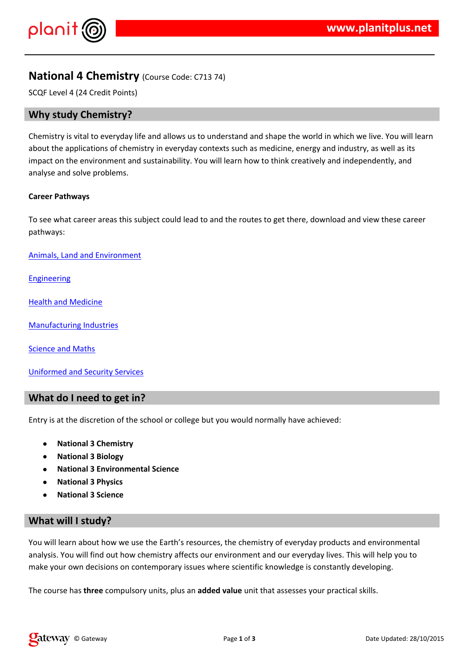$!$  " # \$ %  $\sim$  8. 8'

 $\frac{1}{2}$  ( (  $\frac{9}{8}$  (  $8 * ( 968 \frac{1}{8} + 1)$  $\lambda$  $\frac{0}{6}$ & ) \* (\$& ') ' &,' - 8899668% (+  $($  & '0 \*  $-$ ' 8.\$8.% ' ' % / '  $\frac{30}{10}$  % %  $\frac{9}{5}$  - % ) +

1 ( \*  $-2$  (\*& \* %% ' ( / '% ' \$& (  $\sqrt{2}$ 

 $3'$  & ) % / #' '4' \$ & ') '

 $4' 8' 8'$ 

 $5\%$  (  $6\%$  &  $*$  &  $*$ 

 $6'$  \*  $8'$  7'  $8$ 

 $* 8$  \* 6 (

 $8$  )  $12$   $8$   $58$ 

 $4'$  &  $($  &  $*$   $*$  &  $\frac{10}{10}$   $\frac{10}{10}$  $\%$  ' ) (  $\%$  % \* ( & \$

 $\frac{1}{2}$   $\frac{1}{2}$   $\frac{1}{2}$   $\frac{1}{2}$   $\frac{1}{2}$   $\frac{1}{2}$   $\frac{1}{2}$   $\frac{1}{2}$   $\frac{1}{2}$   $\frac{1}{2}$   $\frac{1}{2}$   $\frac{1}{2}$   $\frac{1}{2}$   $\frac{1}{2}$   $\frac{1}{2}$   $\frac{1}{2}$   $\frac{1}{2}$   $\frac{1}{2}$   $\frac{1}{2}$   $\frac{1}{2}$   $\frac{1}{2}$   $\frac{1}{2}$   $1($  \*  $($  \*  $)$  %  $\frac{108}{96}$  /  $\frac{1}{8}$  ( \*  $8 \times 0.06\%$  % +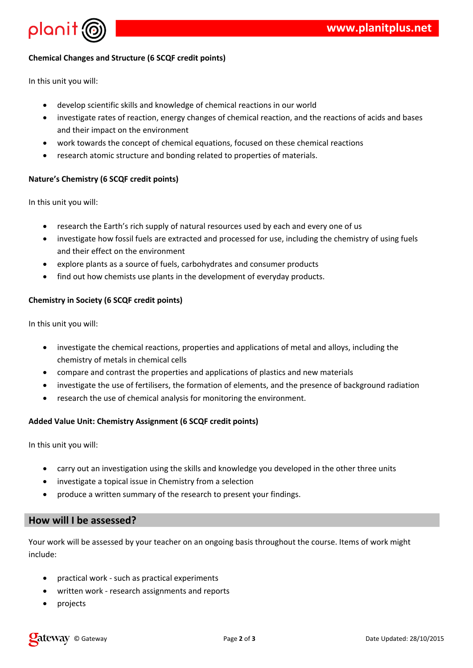

## **Chemical Changes and Structure (6 SCQF credit points)**

In this unit you will:

- develop scientific skills and knowledge of chemical reactions in our world
- investigate rates of reaction, energy changes of chemical reaction, and the reactions of acids and bases and their impact on the environment
- work towards the concept of chemical equations, focused on these chemical reactions
- research atomic structure and bonding related to properties of materials.

## **Nature's Chemistry (6 SCQF credit points)**

In this unit you will:

- research the Earth's rich supply of natural resources used by each and every one of us
- investigate how fossil fuels are extracted and processed for use, including the chemistry of using fuels and their effect on the environment
- explore plants as a source of fuels, carbohydrates and consumer products
- find out how chemists use plants in the development of everyday products.

## **Chemistry in Society (6 SCQF credit points)**

In this unit you will:

- investigate the chemical reactions, properties and applications of metal and alloys, including the chemistry of metals in chemical cells
- compare and contrast the properties and applications of plastics and new materials
- investigate the use of fertilisers, the formation of elements, and the presence of background radiation
- research the use of chemical analysis for monitoring the environment.

#### **Added Value Unit: Chemistry Assignment (6 SCQF credit points)**

In this unit you will:

- carry out an investigation using the skills and knowledge you developed in the other three units
- investigate a topical issue in Chemistry from a selection
- produce a written summary of the research to present your findings.

## **How will I be assessed?**

Your work will be assessed by your teacher on an ongoing basis throughout the course. Items of work might include:

- practical work such as practical experiments
- written work research assignments and reports
- projects